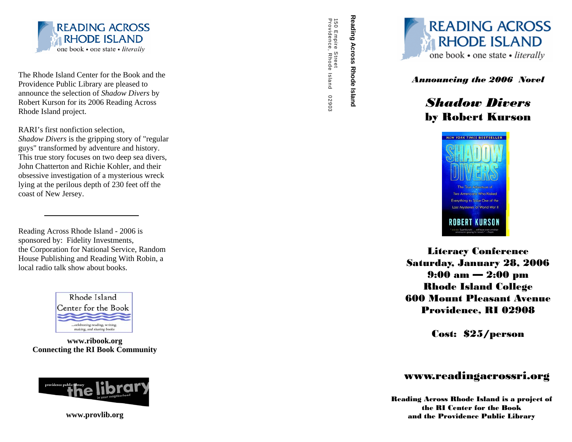

The Rhode Island Center for the Book and the Providence Public Library are pleased to announce the selection of *Shadow Divers* by Robert Kurson for its 2006 Reading Across Rhode Island project.

RARI's first nonfiction selection, *Shadow Divers* is the gripping story of "regular guys" transformed by adventure and history. This true story focuses on two deep sea divers, John Chatterton and Richie Kohler, and their obsessive investigation of a mysterious wreck lying at the perilous depth of 230 feet off the coast of New Jersey.

Reading Across Rhode Island - 2006 is sponsored by: Fidelity Investments, the Corporation for National Service, Random House Publishing and Reading With Robin, a local radio talk show about books.



**www.ribook.org Connecting the RI Book Community**



**www.provlib.org** 

150 Empire Street<br>Providence, Rhode Island Providence, Rhode Island 02903 150 Empire Street 02903



# by Robert Kurson



Literacy Conference Saturday, January 28, 2006 9:00 am — 2:00 pm Rhode Island College 600 Mount Pleasant Avenue Providence, RI 02908

Cost: \$25/person

#### www.readingacrossri.org

Reading Across Rhode Island is a project of the RI Center for the Book and the Providence Public Library